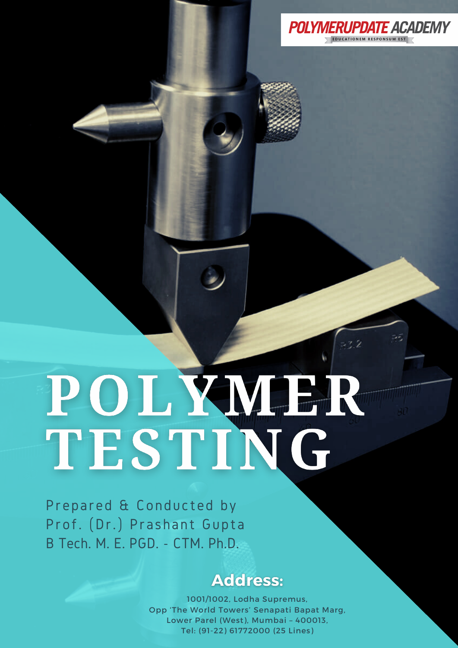

# POLYMER<br>TESTING

Prepared & Conducted by Prof. (Dr.) Prashant Gupta B Tech. M. E. PGD. - CTM. Ph.D.

#### **Address:**

1001/1002, Lodha Supremus, Opp 'The World Towers' Senapati Bapat Marg, Lower Parel (West), Mumbai – 400013, Tel: (91-22) 61772000 (25 Lines)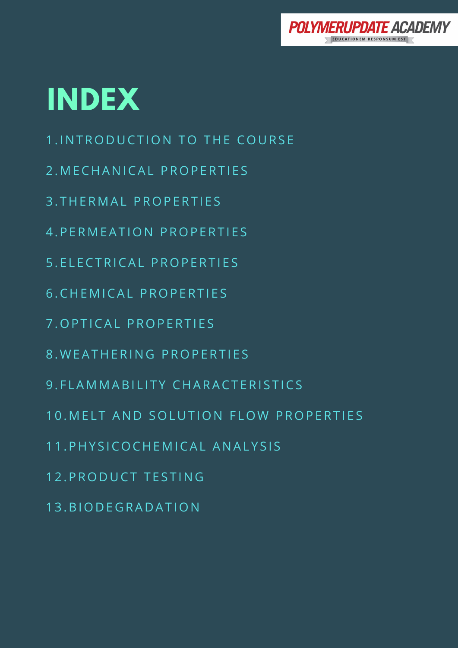

### **INDEX**

- 1. INTRODUCTION TO THE COURSE
- 2. MECHANICAL PROPERTIES
- 3. THERMAL PROPERTIES
- 4. PERMEATION PROPERTIES
- 5. ELECTRICAL PROPERTIES
- 6. CHEMICAL PROPERTIES
- 7. OPTICAL PROPERTIES
- 8. WEATHERING PROPERTIES
- 9. FLAM MABILITY CHARACTERISTICS
- 10. MELT AND SOLUTION FLOW PROPERTIES
- 11. PHYSICOCHEMICAL ANALYSIS
- 12.PRODUCT TESTING
- 1 3 .BIOD E G RA D AT ION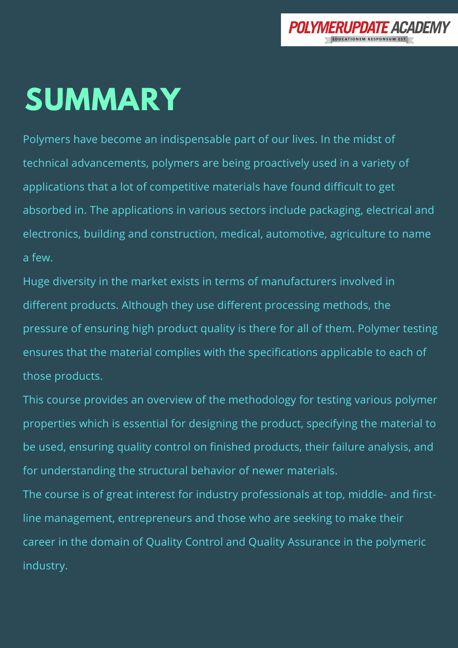

## **SUMMARY**

Polymers have become an indispensable part of our lives. In the midst of technical advancements, polymers are being proactively used in a variety of applications that a lot of competitive materials have found difficult to get absorbed in. The applications in various sectors include packaging, electrical and electronics, building and construction, medical, automotive, agriculture to name a few.

Huge diversity in the market exists in terms of manufacturers involved in different products. Although they use different processing methods, the pressure of ensuring high product quality is there for all of them. Polymer testing ensures that the material complies with the specifications applicable to each of those products.

This course provides an overview of the methodology for testing various polymer properties which is essential for designing the product, specifying the material to be used, ensuring quality control on finished products, their failure analysis, and for understanding the structural behavior of newer materials.

The course is of great interest for industry professionals at top, middle- and firstline management, entrepreneurs and those who are seeking to make their career in the domain of Quality Control and Quality Assurance in the polymeric industry.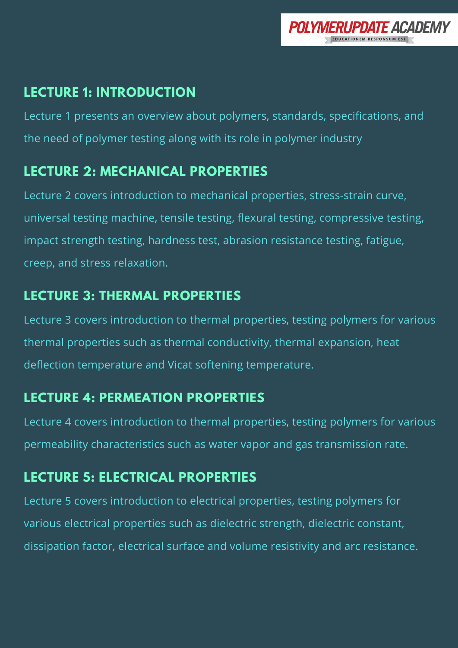

#### **LECTURE 1: INTRODUCTION**

Lecture 1 presents an overview about polymers, standards, specifications, and the need of polymer testing along with its role in polymer industry

#### **LECTURE 2: MECHANICAL PROPERTIES**

Lecture 2 covers introduction to mechanical properties, stress-strain curve, universal testing machine, tensile testing, flexural testing, compressive testing, impact strength testing, hardness test, abrasion resistance testing, fatigue, creep, and stress relaxation.

#### **LECTURE 3: THERMAL PROPERTIES**

Lecture 3 covers introduction to thermal properties, testing polymers for various thermal properties such as thermal conductivity, thermal expansion, heat deflection temperature and Vicat softening temperature.

#### **LECTURE 4: PERMEATION PROPERTIES**

Lecture 4 covers introduction to thermal properties, testing polymers for various permeability characteristics such as water vapor and gas transmission rate.

#### **LECTURE 5: ELECTRICAL PROPERTIES**

Lecture 5 covers introduction to electrical properties, testing polymers for various electrical properties such as dielectric strength, dielectric constant, dissipation factor, electrical surface and volume resistivity and arc resistance.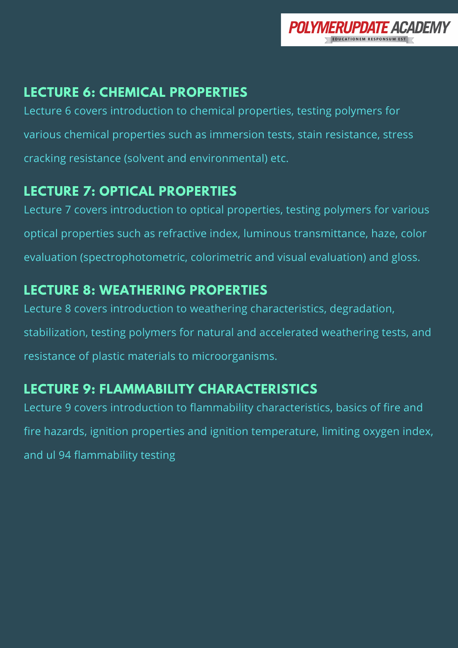

#### **LECTURE 6: CHEMICAL PROPERTIES**

Lecture 6 covers introduction to chemical properties, testing polymers for various chemical properties such as immersion tests, stain resistance, stress cracking resistance (solvent and environmental) etc.

#### **LECTURE 7: OPTICAL PROPERTIES**

Lecture 7 covers introduction to optical properties, testing polymers for various optical properties such as refractive index, luminous transmittance, haze, color evaluation (spectrophotometric, colorimetric and visual evaluation) and gloss.

#### **LECTURE 8: WEATHERING PROPERTIES**

Lecture 8 covers introduction to weathering characteristics, degradation, stabilization, testing polymers for natural and accelerated weathering tests, and resistance of plastic materials to microorganisms.

#### **LECTURE 9: FLAMMABILITY CHARACTERISTICS**

Lecture 9 covers introduction to flammability characteristics, basics of fire and fire hazards, ignition properties and ignition temperature, limiting oxygen index, and ul 94 flammability testing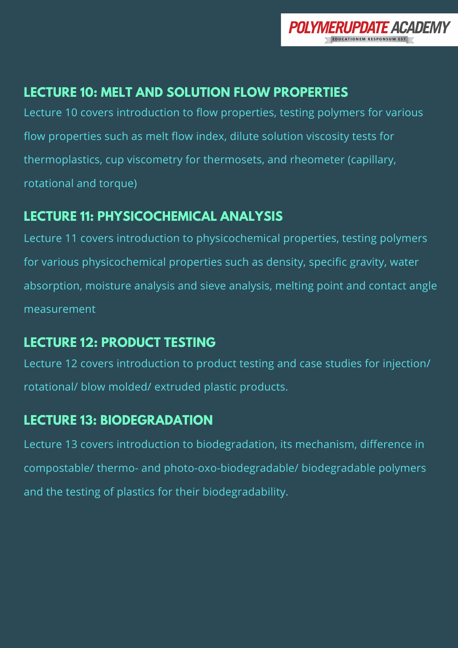

#### **LECTURE 10: MELT AND SOLUTION FLOW PROPERTIES**

Lecture 10 covers introduction to flow properties, testing polymers for various flow properties such as melt flow index, dilute solution viscosity tests for thermoplastics, cup viscometry for thermosets, and rheometer (capillary, rotational and torque)

#### **LECTURE 11: PHYSICOCHEMICAL ANALYSIS**

Lecture 11 covers introduction to physicochemical properties, testing polymers for various physicochemical properties such as density, specific gravity, water absorption, moisture analysis and sieve analysis, melting point and contact angle measurement

#### **LECTURE 12: PRODUCT TESTING**

Lecture 12 covers introduction to product testing and case studies for injection/ rotational/ blow molded/ extruded plastic products.

#### **LECTURE 13: BIODEGRADATION**

Lecture 13 covers introduction to biodegradation, its mechanism, difference in compostable/ thermo- and photo-oxo-biodegradable/ biodegradable polymers and the testing of plastics for their biodegradability.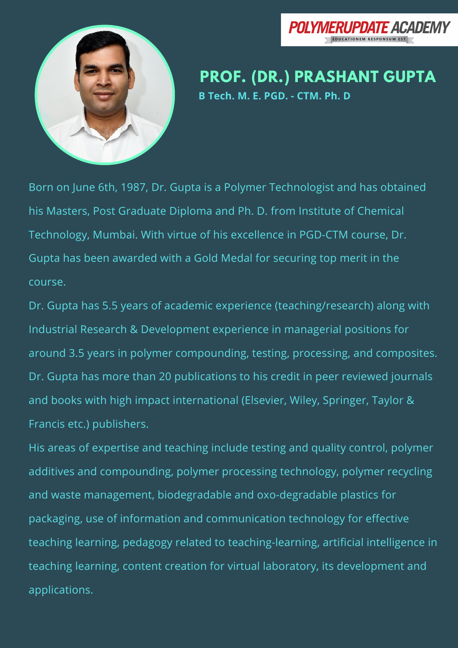

**PROF. (DR.) PRASHANT GUPTA B Tech. M. E. PGD. - CTM. Ph. D**

*POLYMERUPDATE AC* 

Born on June 6th, 1987, Dr. Gupta is a Polymer Technologist and has obtained his Masters, Post Graduate Diploma and Ph. D. from Institute of Chemical Technology, Mumbai. With virtue of his excellence in PGD-CTM course, Dr. Gupta has been awarded with a Gold Medal for securing top merit in the course.

Dr. Gupta has 5.5 years of academic experience (teaching/research) along with Industrial Research & Development experience in managerial positions for around 3.5 years in polymer compounding, testing, processing, and composites. Dr. Gupta has more than 20 publications to his credit in peer reviewed journals and books with high impact international (Elsevier, Wiley, Springer, Taylor & Francis etc.) publishers.

His areas of expertise and teaching include testing and quality control, polymer additives and compounding, polymer processing technology, polymer recycling and waste management, biodegradable and oxo-degradable plastics for packaging, use of information and communication technology for effective teaching learning, pedagogy related to teaching-learning, artificial intelligence in teaching learning, content creation for virtual laboratory, its development and applications.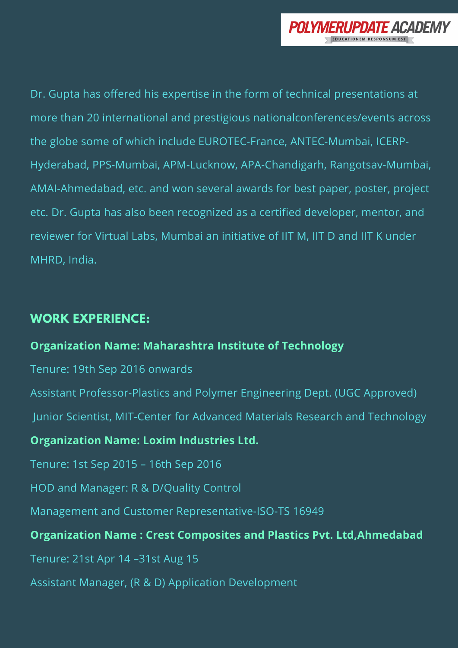

Dr. Gupta has offered his expertise in the form of technical presentations at more than 20 international and prestigious nationalconferences/events across the globe some of which include EUROTEC-France, ANTEC-Mumbai, ICERP-Hyderabad, PPS-Mumbai, APM-Lucknow, APA-Chandigarh, Rangotsav-Mumbai, AMAI-Ahmedabad, etc. and won several awards for best paper, poster, project etc. Dr. Gupta has also been recognized as a certified developer, mentor, and reviewer for Virtual Labs, Mumbai an initiative of IIT M, IIT D and IIT K under MHRD, India.

#### **WORK EXPERIENCE:**

#### **Organization Name: Maharashtra Institute of Technology**

Tenure: 19th Sep 2016 onwards

Assistant Professor-Plastics and Polymer Engineering Dept. (UGC Approved)

Junior Scientist, MIT-Center for Advanced Materials Research and Technology

#### **Organization Name: Loxim Industries Ltd.**

Tenure: 1st Sep 2015 – 16th Sep 2016

HOD and Manager: R & D/Quality Control

Management and Customer Representative-ISO-TS 16949

#### **Organization Name : Crest Composites and Plastics Pvt. Ltd,Ahmedabad**

Tenure: 21st Apr 14 –31st Aug 15

Assistant Manager, (R & D) Application Development